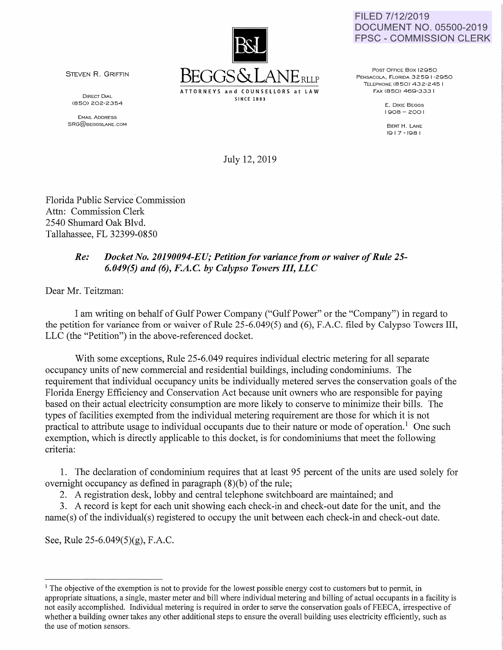

FILED 7/12/2019 DOCUMENT NO. 05500-2019 FPSC- COMMISSION CLERK

STEVEN R. GRIFFIN

DIRECT DIAL (850) 202-2354

EMAIL ADDRESS SRG@BEGGSLANE.COM

POST OFFICE Box 12950 PENSACOLA, FLORIDA 3259 1-2950 TELEPHONE (850) 432-245 I FAX C850) 469-333 I

> E. DIXIE BEGGS 1908-2001

BERT H. LANE 1917-198 I

July 12, 2019

Florida Public Service Commission Attn: Commission Clerk 2540 Shumard Oak Blvd. Tallahassee, FL 32399-0850

## *Re: Docket No. 20190094-EU; Petition for variance from or waiver of Rule 25- 6.049(5) and (6), F.A.C. by Calypso Towers III, LLC*

Dear Mr. Teitzman:

I am writing on behalf of Gulf Power Company ("Gulf Power" or the "Company") in regard to the petition for variance from or waiver of Rule 25-6.049(5) and (6), F.A.C. filed by Calypso Towers III, LLC (the "Petition") in the above-referenced docket.

With some exceptions, Rule 25-6.049 requires individual electric metering for all separate occupancy units of new commercial and residential buildings, including condominiums. The requirement that individual occupancy units be individually metered serves the conservation goals of the Florida Energy Efficiency and Conservation Act because unit owners who are responsible for paying based on their actual electricity consumption are more likely to conserve to minimize their bills. The types of facilities exempted from the individual metering requirement are those for which it is not practical to attribute usage to individual occupants due to their nature or mode of operation.<sup>1</sup> One such exemption, which is directly applicable to this docket, is for condominiums that meet the following criteria:

1. The declaration of condominium requires that at least 95 percent of the units are used solely for overnight occupancy as defined in paragraph (8)(b) of the rule;

2. A registration desk, lobby and central telephone switchboard are maintained; and

3. A record is kept for each unit showing each check-in and check-out date for the unit, and the name(s) of the individual(s) registered to occupy the unit between each check-in and check-out date.

See, Rule 25-6.049(5)(g), F.A.C.

 $<sup>1</sup>$  The objective of the exemption is not to provide for the lowest possible energy cost to customers but to permit, in</sup> appropriate situations, a single, master meter and bill where individual metering and billing of actual occupants in a facility is not easily accomplished. Individual metering is required in order to serve the conservation goals of FEECA, irrespective of whether a building owner takes any other additional steps to ensure the overall building uses electricity efficiently, such as the use of motion sensors.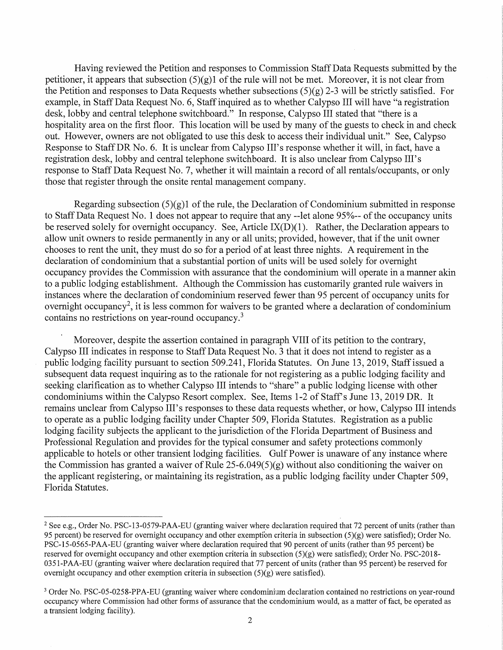Having reviewed the Petition and responses to Commission Staff Data Requests submitted by the petitioner, it appears that subsection  $(5)(g)1$  of the rule will not be met. Moreover, it is not clear from the Petition and responses to Data Requests whether subsections  $(5)(g)$  2-3 will be strictly satisfied. For example, in Staff Data Request No.6, Staff inquired as to whether Calypso III will have "a registration desk, lobby and central telephone switchboard." In response, Calypso III stated that "there is a hospitality area on the first floor. This location will be used by many of the guests to check in and check out. However, owners are not obligated to use this desk to access their individual unit." See, Calypso Response to Staff DR No.6. It is unclear from Calypso III's response whether it will, in fact, have a registration desk, lobby and central telephone switchboard. It is also unclear from Calypso III's response to Staff Data Request No.7, whether it will maintain a record of all rentals/occupants, or only those that register through the onsite rental management company.

Regarding subsection  $(5)(g)$  of the rule, the Declaration of Condominium submitted in response to Staff Data Request No. 1 does not appear to require that any --let alone 95%-- of the occupancy units be reserved solely for overnight occupancy. See, Article  $IX(D)(1)$ . Rather, the Declaration appears to allow unit owners to reside permanently in any or all units; provided, however, that if the unit owner chooses to rent the unit, they must do so for a period of at least three nights. A requirement in the declaration of condominium that a substantial portion of units will be used solely for overnight occupancy provides the Commission with assurance that the condominium will operate in a manner akin to a public lodging establishment. Although the Commission has customarily granted rule waivers in instances where the declaration of condominium reserved fewer than 95 percent of occupancy units for overnight occupancy<sup>2</sup>, it is less common for waivers to be granted where a declaration of condominium contains no restrictions on year-round occupancy. <sup>3</sup>

Moreover, despite the assertion contained in paragraph VIII of its petition to the contrary, Calypso III indicates in response to Staff Data Request No. 3 that it does not intend to register as a public lodging facility pursuant to section 509.241, Florida Statutes. On June 13, 2019, Staff issued a subsequent data request inquiring as to the rationale for not registering as a public lodging facility and seeking clarification as to whether Calypso III intends to "share" a public lodging license with other condominiums within the Calypso Resort complex. See, Items 1-2 of Staff's June 13, 2019 DR. It remains unclear from Calypso III's responses to these data requests whether, or how, Calypso III intends to operate as a public lodging facility under Chapter 509, Florida Statutes. Registration as a public lodging facility subjects the applicant to the jurisdiction of the Florida Department of Business and Professional Regulation and provides for the typical consumer and safety protections commonly applicable to hotels or other transient lodging facilities. Gulf Power is unaware of any instance where the Commission has granted a waiver of Rule 25-6.049(5)(g) without also conditioning the waiver on the applicant registering, or maintaining its registration, as a public lodging facility under Chapter 509, Florida Statutes.

<sup>&</sup>lt;sup>2</sup> See e.g., Order No. PSC-13-0579-PAA-EU (granting waiver where declaration required that 72 percent of units (rather than 95 percent) be reserved for overnight occupancy and other exemption criteria in subsection  $(5)(g)$  were satisfied); Order No. PSC-15-0565-PAA-EU (granting waiver where declaration required that 90 percent ofunits (rather than 95 percent) be reserved for overnight occupancy and other exemption criteria in subsection  $(5)(g)$  were satisfied); Order No. PSC-2018-0351-PAA-EU (granting waiver where declaration required that 77 percent of units (rather than 95 percent) be reserved for overnight occupancy and other exemption criteria in subsection (5)(g) were satisfied).

<sup>&</sup>lt;sup>3</sup> Order No. PSC-05-0258-PPA-EU (granting waiver where condominium declaration contained no restrictions on year-round occupancy where Commission had other forms of assurance that the condominium would, as a matter of fact, be operated as a transient lodging facility).